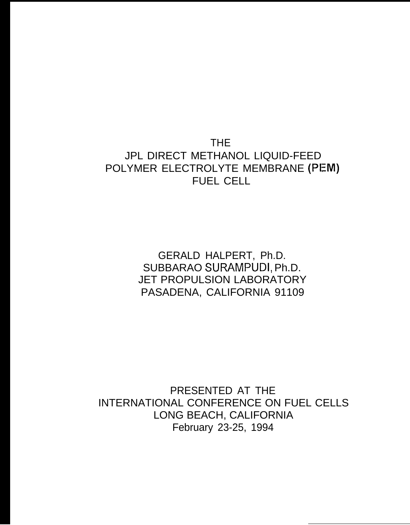THE JPL DIRECT METHANOL LIQUID-FEED POLYMER ELECTROLYTE MEMBRANE (PEM) FUEL CELL

> GERALD HALPERT, Ph.D. SUBBARAO SURAMPUDI, Ph.D. JET PROPULSION LABORATORY PASADENA, CALIFORNIA 91109

PRESENTED AT THE INTERNATIONAL CONFERENCE ON FUEL CELLS LONG BEACH, CALIFORNIA February 23-25, 1994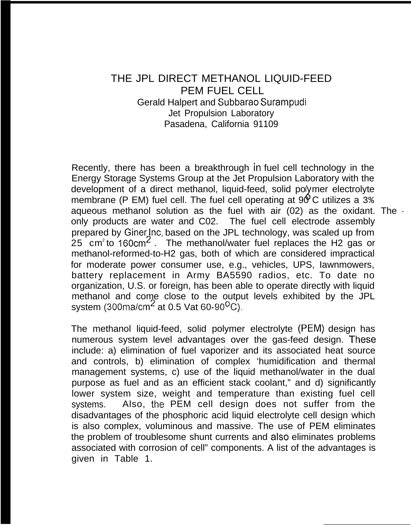#### THE JPL DIRECT METHANOL LIQUID-FEED PEM FUEL CELL Gerald Halpert and Subbarao Surampudi Jet Propulsion Laboratory Pasadena, California 91109

Recently, there has been a breakthrough in fuel cell technology in the Energy Storage Systems Group at the Jet Propulsion Laboratory with the development of a direct methanol, liquid-feed, solid polymer electrolyte membrane (P EM) fuel cell. The fuel cell operating at  $90^{\circ}$ C utilizes a 3% aqueous methanol solution as the fuel with air  $(02)$  as the oxidant. The only products are water and C02. The fuel cell electrode assembly prepared by Giner Inc, based on the JPL technology, was scaled up from 25  $\text{cm}^2$  to 160cm<sup>2</sup>. The methanol/water fuel replaces the H2 gas or methanol-reformed-to-H2 gas, both of which are considered impractical for moderate power consumer use, e.g., vehicles, UPS, Iawnmowers, battery replacement in Army BA5590 radios, etc. To date no organization, U.S. or foreign, has been able to operate directly with liquid methanol and come close to the output levels exhibited by the JPL system (300ma/cm<sup>2</sup> at 0.5 Vat 60-90<sup>o</sup>C).

The methanol liquid-feed, solid polymer electrolyte (PEM) design has numerous system level advantages over the gas-feed design. These include: a) elimination of fuel vaporizer and its associated heat source and controls, b) elimination of complex 'humidification and thermal management systems, c) use of the liquid methanol/water in the dual purpose as fuel and as an efficient stack coolant," and d) significantly lower system size, weight and temperature than existing fuel cell systems. Also, the PEM cell design does not suffer from the disadvantages of the phosphoric acid liquid electrolyte cell design which is also complex, voluminous and massive. The use of PEM eliminates the problem of troublesome shunt currents and also eliminates problems associated with corrosion of cell" components. A list of the advantages is given in Table 1.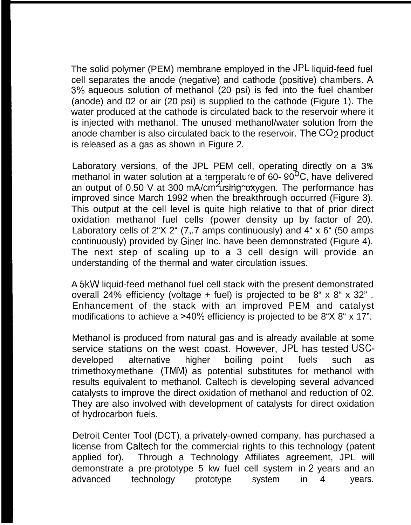The solid polymer (PEM) membrane employed in the JPL liquid-feed fuel cell separates the anode (negative) and cathode (positive) chambers. A 3°/0 aqueous solution of methanol (20 psi) is fed into the fuel chamber (anode) and 02 or air (20 psi) is supplied to the cathode (Figure 1). The water produced at the cathode is circulated back to the reservoir where it is injected with methanol. The unused methanol/water solution from the anode chamber is also circulated back to the reservoir. The C02 product is released as a gas as shown in Figure 2.

Laboratory versions, of the JPL PEM cell, operating directly on a 3% methanol in water solution at a temperature of 60-  $90^{\circ}$ C, have delivered an output of 0.50 V at 300 mA/cm using oxygen. The performance has improved since March 1992 when the breakthrough occurred (Figure 3). This output at the cell level is quite high relative to that of prior direct oxidation methanol fuel cells (power density up by factor of 20). Laboratory cells of 2"X 2" (7,.7 amps continuously) and 4" x 6" (50 amps continuously) provided by Giner Inc. have been demonstrated (Figure 4). The next step of scaling up to a 3 cell design will provide an understanding of the thermal and water circulation issues.

A 5kW liquid-feed methanol fuel cell stack with the present demonstrated overall 24% efficiency (voltage + fuel) is projected to be  $8'' \times 8'' \times 32''$ . Enhancement of the stack with an improved PEM and catalyst modifications to achieve a  $>40\%$  efficiency is projected to be 8"X 8" x 17".

Methanol is produced from natural gas and is already available at some service stations on the west coast. However, JPL has tested USCdeveloped alternative higher boiling point fuels such as trimethoxymethane (TMM) as potential substitutes for methanol with results equivalent to methanol. Caltech is developing several advanced catalysts to improve the direct oxidation of methanol and reduction of 02. They are also involved with development of catalysts for direct oxidation of hydrocarbon fuels.

Detroit Center Tool (DCT), a privately-owned company, has purchased a license from Caltech for the commercial rights to this technology (patent applied for). Through a Technology Affiliates agreement, JPL will demonstrate a pre-prototype 5 kw fuel cell system in 2 years and an advanced technology prototype system in 4 years.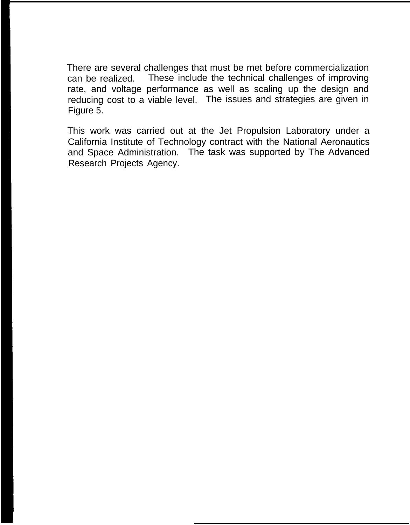There are several challenges that must be met before commercialization can be realized. These include the technical challenges of improving rate, and voltage performance as well as scaling up the design and reducing cost to a viable level. The issues and strategies are given in Figure 5.

This work was carried out at the Jet Propulsion Laboratory under a California Institute of Technology contract with the National Aeronautics and Space Administration. The task was supported by The Advanced Research Projects Agency.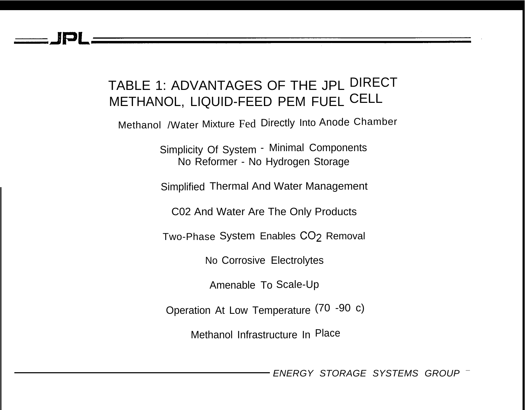# TABLE 1: ADVANTAGES OF THE JPL DIRECT METHANOL, LIQUID-FEED PEM FUEL CELL

Methanol /Water Mixture Fed Directly Into Anode Chamber

Simplicity Of System - Minimal Components No Reformer - No Hydrogen Storage

Simplified Thermal And Water Management

C02 And Water Are The Only Products

Two-Phase System Enables C02 Removal

No Corrosive Electrolytes

Amenable To Scale-Up

Operation At Low Temperature (70 -90 c)

Methanol Infrastructure In Place

ENERGY STORAGE SYSTEMS GROUP —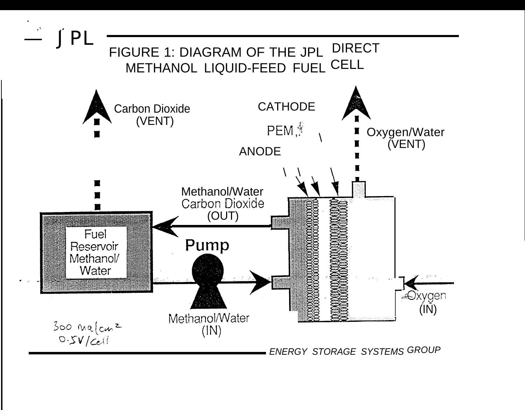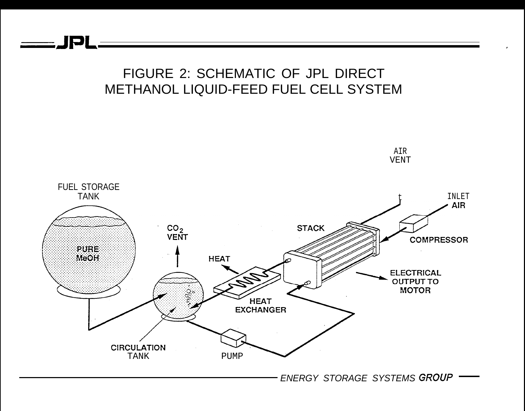FIGURE 2: SCHEMATIC OF JPL DIRECT METHANOL LIQUID-FEED FUEL CELL SYSTEM

AIR

.

—JPL

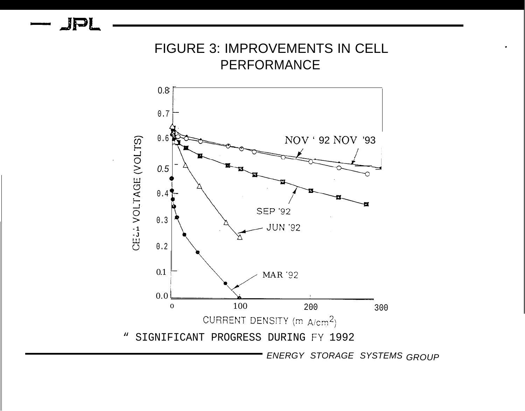## FIGURE 3: IMPROVEMENTS IN CELL PERFORMANCE

.

 $JPL$ 

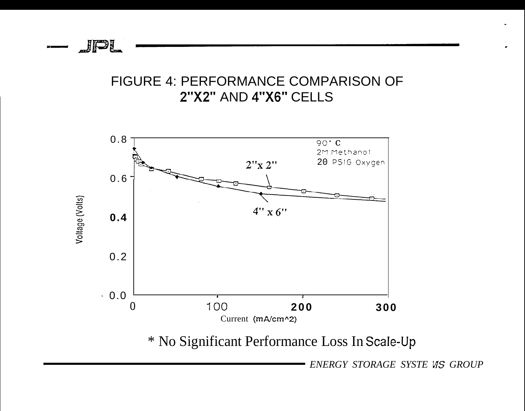### FIGURE 4: PERFORMANCE COMPARISON OF 2"X2" AND 4"X6" CELLS

JPL



**ENERGY STORAGE SYSTE VIS GROUP**